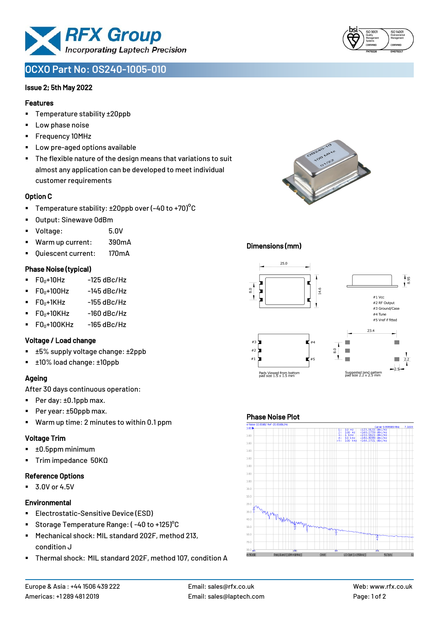

# **OCXO Part No: OS240-1005-010**

### Issue 2; 5th May 2022

#### Features

- Temperature stability ±20ppb
- Low phase noise
- Frequency 10MHz
- Low pre-aged options available
- The flexible nature of the design means that variations to suit almost any application can be developed to meet individual customer requirements

### Option C

- **•** Temperature stability:  $\pm 20$ ppb over (-40 to +70)<sup>o</sup>C
- Output: Sinewave 0dBm
- Voltage: 5.0V
- Warm up current: 390mA
- Quiescent current: 170mA

### Phase Noise (typical)

- $F0_0+10Hz$  -125 dBc/Hz
- $FO<sub>0</sub>+100Hz$  -145 dBc/Hz
- $F0_0+1$ KHz  $-155$  dBc/Hz
- $F0_0+10K$ Hz  $-160$  dBc/Hz
- $\blacksquare$  F0<sub>0</sub>+100KHz -165 dBc/Hz

### Voltage / Load change

- ±5% supply voltage change: ±2ppb
- ±10% load change: ±10ppb

### Ageing

After 30 days continuous operation:

- Per day: ±0.1ppb max.
- Per year: ±50ppb max.
- Warm up time: 2 minutes to within 0.1 ppm

# Voltage Trim

- ±0.5ppm minimum
- Trim impedance 50KΩ

# Reference Options

■ 3.0V or 4.5V

# **Environmental**

- Electrostatic-Sensitive Device (ESD)
- Storage Temperature Range: (-40 to +125)<sup>°</sup>C
- Mechanical shock: MIL standard 202F, method 213, condition J
- Thermal shock: MIL standard 202F, method 107, condition A





### Dimensions (mm)